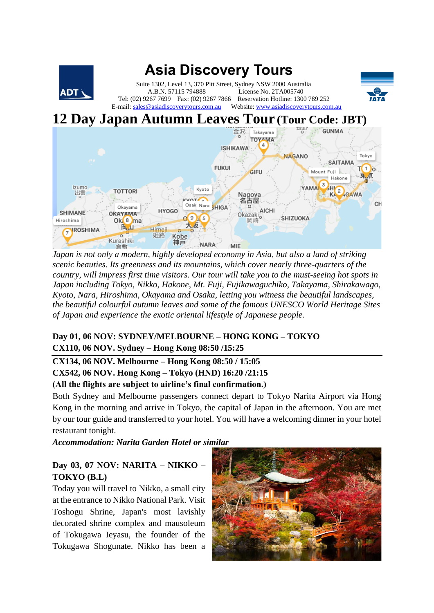

*Japan is not only a modern, highly developed economy in Asia, but also a land of striking scenic beauties. Its greenness and its mountains, which cover nearly three-quarters of the country, will impress first time visitors. Our tour will take you to the must-seeing hot spots in Japan including Tokyo, Nikko, Hakone, Mt. Fuji, Fujikawaguchiko, Takayama, Shirakawago, Kyoto, Nara, Hiroshima, Okayama and Osaka, letting you witness the beautiful landscapes, the beautiful colourful autumn leaves and some of the famous UNESCO World Heritage Sites of Japan and experience the exotic oriental lifestyle of Japanese people.*

## **Day 01, 06 NOV: SYDNEY/MELBOURNE – HONG KONG – TOKYO CX110, 06 NOV. Sydney – Hong Kong 08:50 /15:25**

## **CX134, 06 NOV. Melbourne – Hong Kong 08:50 / 15:05**

## **CX542, 06 NOV. Hong Kong – Tokyo (HND) 16:20 /21:15**

## **(All the flights are subject to airline's final confirmation.)**

Both Sydney and Melbourne passengers connect depart to Tokyo Narita Airport via Hong Kong in the morning and arrive in Tokyo, the capital of Japan in the afternoon. You are met by our tour guide and transferred to your hotel. You will have a welcoming dinner in your hotel restaurant tonight.

*Accommodation: Narita Garden Hotel or similar*

# **Day 03, 07 NOV: NARITA – NIKKO – TOKYO (B.L)**

Today you will travel to Nikko, a small city at the entrance to Nikko National Park. Visit Toshogu Shrine, Japan's most lavishly decorated shrine complex and mausoleum of Tokugawa Ieyasu, the founder of the Tokugawa Shogunate. Nikko has been a

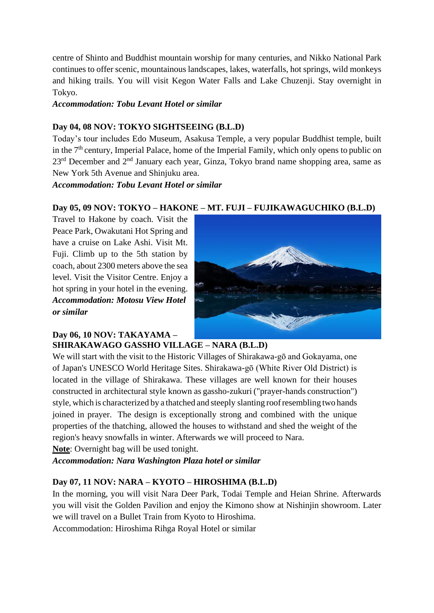centre of Shinto and Buddhist mountain worship for many centuries, and Nikko National Park continues to offer scenic, mountainous landscapes, lakes, waterfalls, hot springs, wild monkeys and hiking trails. You will visit Kegon Water Falls and Lake Chuzenji. Stay overnight in Tokyo.

#### *Accommodation: Tobu Levant Hotel or similar*

## **Day 04, 08 NOV: TOKYO SIGHTSEEING (B.L.D)**

Today's tour includes Edo Museum, Asakusa Temple, a very popular Buddhist temple, built in the  $7<sup>th</sup>$  century, Imperial Palace, home of the Imperial Family, which only opens to public on 23<sup>rd</sup> December and 2<sup>nd</sup> January each year, Ginza, Tokyo brand name shopping area, same as New York 5th Avenue and Shinjuku area.

*Accommodation: Tobu Levant Hotel or similar*

## **Day 05, 09 NOV: TOKYO – HAKONE – MT. FUJI – FUJIKAWAGUCHIKO (B.L.D)**

Travel to Hakone by coach. Visit the Peace Park, Owakutani Hot Spring and have a cruise on Lake Ashi. Visit Mt. Fuji. Climb up to the 5th station by coach, about 2300 meters above the sea level. Visit the Visitor Centre. Enjoy a hot spring in your hotel in the evening. *Accommodation: Motosu View Hotel or similar*



#### **Day 06, 10 NOV: TAKAYAMA – SHIRAKAWAGO GASSHO VILLAGE – NARA (B.L.D)**

We will start with the visit to the Historic Villages of Shirakawa-gō and Gokayama, one of Japan's UNESCO World Heritage Sites. Shirakawa-gō (White River Old District) is located in the village of Shirakawa. These villages are well known for their houses constructed in architectural style known as gassho-zukuri ("prayer-hands construction") style, which is characterized by a thatched and steeply slanting roofresembling two hands joined in prayer. The design is exceptionally strong and combined with the unique properties of the thatching, allowed the houses to withstand and shed the weight of the region's heavy snowfalls in winter. Afterwards we will proceed to Nara.

**Note**: Overnight bag will be used tonight.

*Accommodation: Nara Washington Plaza hotel or similar*

## **Day 07, 11 NOV: NARA – KYOTO – HIROSHIMA (B.L.D)**

In the morning, you will visit Nara Deer Park, Todai Temple and Heian Shrine. Afterwards you will visit the Golden Pavilion and enjoy the Kimono show at Nishinjin showroom. Later we will travel on a Bullet Train from Kyoto to Hiroshima.

Accommodation: Hiroshima Rihga Royal Hotel or similar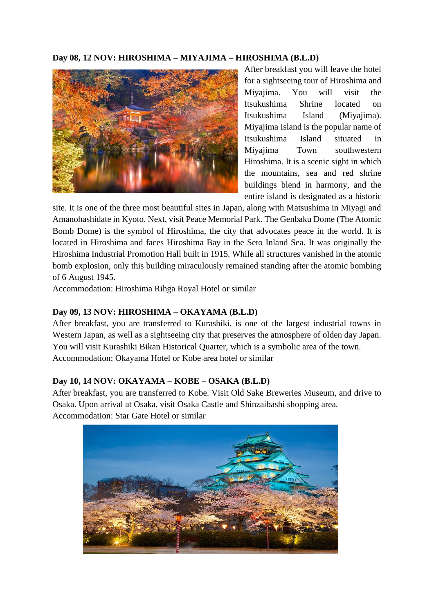### **Day 08, 12 NOV: HIROSHIMA – MIYAJIMA – HIROSHIMA (B.L.D)**



After breakfast you will leave the hotel for a sightseeing tour of Hiroshima and Miyajima. You will visit the Itsukushima Shrine located on Itsukushima Island (Miyajima). Miyajima Island is the popular name of Itsukushima Island situated in Miyajima Town southwestern Hiroshima. It is a scenic sight in which the mountains, sea and red shrine buildings blend in harmony, and the entire island is designated as a historic

site. It is one of the three most beautiful sites in Japan, along with Matsushima in Miyagi and Amanohashidate in Kyoto. Next, visit Peace Memorial Park. The Genbaku Dome (The Atomic Bomb Dome) is the symbol of Hiroshima, the city that advocates peace in the world. It is located in Hiroshima and faces Hiroshima Bay in the Seto Inland Sea. It was originally the Hiroshima Industrial Promotion Hall built in 1915. While all structures vanished in the atomic bomb explosion, only this building miraculously remained standing after the atomic bombing of 6 August 1945.

Accommodation: Hiroshima Rihga Royal Hotel or similar

#### **Day 09, 13 NOV: HIROSHIMA – OKAYAMA (B.L.D)**

After breakfast, you are transferred to Kurashiki, is one of the largest industrial towns in Western Japan, as well as a sightseeing city that preserves the atmosphere of olden day Japan. You will visit Kurashiki Bikan Historical Quarter, which is a symbolic area of the town. Accommodation: Okayama Hotel or Kobe area hotel or similar

#### **Day 10, 14 NOV: OKAYAMA – KOBE – OSAKA (B.L.D)**

After breakfast, you are transferred to Kobe. Visit Old Sake Breweries Museum, and drive to Osaka. Upon arrival at Osaka, visit Osaka Castle and Shinzaibashi shopping area. Accommodation: Star Gate Hotel or similar